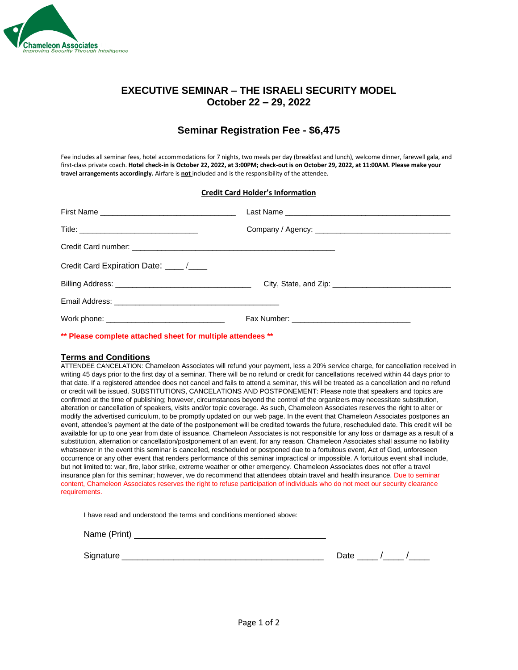

### **EXECUTIVE SEMINAR – THE ISRAELI SECURITY MODEL October 22 – 29, 2022**

## **Seminar Registration Fee - \$6,475**

Fee includes all seminar fees, hotel accommodations for 7 nights, two meals per day (breakfast and lunch), welcome dinner, farewell gala, and first-class private coach. **Hotel check-in is October 22, 2022, at 3:00PM; check-out is on October 29, 2022, at 11:00AM. Please make your travel arrangements accordingly.** Airfare is **not** included and is the responsibility of the attendee.

#### **Credit Card Holder's Information**

| Credit Card Expiration Date: ____/___ |  |  |
|---------------------------------------|--|--|
|                                       |  |  |
|                                       |  |  |
|                                       |  |  |

**\*\* Please complete attached sheet for multiple attendees \*\***

#### **Terms and Conditions**

ATTENDEE CANCELATION: Chameleon Associates will refund your payment, less a 20% service charge, for cancellation received in writing 45 days prior to the first day of a seminar. There will be no refund or credit for cancellations received within 44 days prior to that date. If a registered attendee does not cancel and fails to attend a seminar, this will be treated as a cancellation and no refund or credit will be issued. SUBSTITUTIONS, CANCELATIONS AND POSTPONEMENT: Please note that speakers and topics are confirmed at the time of publishing; however, circumstances beyond the control of the organizers may necessitate substitution, alteration or cancellation of speakers, visits and/or topic coverage. As such, Chameleon Associates reserves the right to alter or modify the advertised curriculum, to be promptly updated on our web page. In the event that Chameleon Associates postpones an event, attendee's payment at the date of the postponement will be credited towards the future, rescheduled date. This credit will be available for up to one year from date of issuance. Chameleon Associates is not responsible for any loss or damage as a result of a substitution, alternation or cancellation/postponement of an event, for any reason. Chameleon Associates shall assume no liability whatsoever in the event this seminar is cancelled, rescheduled or postponed due to a fortuitous event, Act of God, unforeseen occurrence or any other event that renders performance of this seminar impractical or impossible. A fortuitous event shall include, but not limited to: war, fire, labor strike, extreme weather or other emergency. Chameleon Associates does not offer a travel insurance plan for this seminar; however, we do recommend that attendees obtain travel and health insurance. Due to seminar content, Chameleon Associates reserves the right to refuse participation of individuals who do not meet our security clearance requirements.

I have read and understood the terms and conditions mentioned above:

Name (Print) \_\_\_\_\_\_\_\_\_\_\_\_\_\_\_\_\_\_\_\_\_\_\_\_\_\_\_\_\_\_\_\_\_\_\_\_\_

Signature **Subset of the Second Contract Contract Contract Contract Contract Contract Contract Contract Contract Contract Contract Contract Contract Contract Contract Contract Contract Contract Contract Contract Contract C**